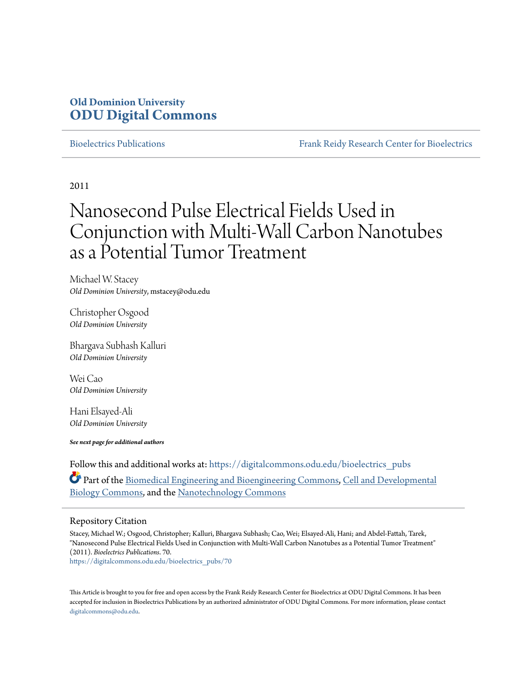# **Old Dominion University [ODU Digital Commons](https://digitalcommons.odu.edu?utm_source=digitalcommons.odu.edu%2Fbioelectrics_pubs%2F70&utm_medium=PDF&utm_campaign=PDFCoverPages)**

[Bioelectrics Publications](https://digitalcommons.odu.edu/bioelectrics_pubs?utm_source=digitalcommons.odu.edu%2Fbioelectrics_pubs%2F70&utm_medium=PDF&utm_campaign=PDFCoverPages) [Frank Reidy Research Center for Bioelectrics](https://digitalcommons.odu.edu/bioelectrics?utm_source=digitalcommons.odu.edu%2Fbioelectrics_pubs%2F70&utm_medium=PDF&utm_campaign=PDFCoverPages)

2011

# Nanosecond Pulse Electrical Fields Used in Conjunction with Multi-Wall Carbon Nanotubes as a Potential Tumor Treatment

Michael W. Stacey *Old Dominion University*, mstacey@odu.edu

Christopher Osgood *Old Dominion University*

Bhargava Subhash Kalluri *Old Dominion University*

Wei Cao *Old Dominion University*

Hani Elsayed-Ali *Old Dominion University*

*See next page for additional authors*

Follow this and additional works at: [https://digitalcommons.odu.edu/bioelectrics\\_pubs](https://digitalcommons.odu.edu/bioelectrics_pubs?utm_source=digitalcommons.odu.edu%2Fbioelectrics_pubs%2F70&utm_medium=PDF&utm_campaign=PDFCoverPages) Part of the [Biomedical Engineering and Bioengineering Commons,](http://network.bepress.com/hgg/discipline/229?utm_source=digitalcommons.odu.edu%2Fbioelectrics_pubs%2F70&utm_medium=PDF&utm_campaign=PDFCoverPages) [Cell and Developmental](http://network.bepress.com/hgg/discipline/8?utm_source=digitalcommons.odu.edu%2Fbioelectrics_pubs%2F70&utm_medium=PDF&utm_campaign=PDFCoverPages) [Biology Commons](http://network.bepress.com/hgg/discipline/8?utm_source=digitalcommons.odu.edu%2Fbioelectrics_pubs%2F70&utm_medium=PDF&utm_campaign=PDFCoverPages), and the [Nanotechnology Commons](http://network.bepress.com/hgg/discipline/1251?utm_source=digitalcommons.odu.edu%2Fbioelectrics_pubs%2F70&utm_medium=PDF&utm_campaign=PDFCoverPages)

#### Repository Citation

Stacey, Michael W.; Osgood, Christopher; Kalluri, Bhargava Subhash; Cao, Wei; Elsayed-Ali, Hani; and Abdel-Fattah, Tarek, "Nanosecond Pulse Electrical Fields Used in Conjunction with Multi-Wall Carbon Nanotubes as a Potential Tumor Treatment" (2011). *Bioelectrics Publications*. 70. [https://digitalcommons.odu.edu/bioelectrics\\_pubs/70](https://digitalcommons.odu.edu/bioelectrics_pubs/70?utm_source=digitalcommons.odu.edu%2Fbioelectrics_pubs%2F70&utm_medium=PDF&utm_campaign=PDFCoverPages)

This Article is brought to you for free and open access by the Frank Reidy Research Center for Bioelectrics at ODU Digital Commons. It has been accepted for inclusion in Bioelectrics Publications by an authorized administrator of ODU Digital Commons. For more information, please contact [digitalcommons@odu.edu.](mailto:digitalcommons@odu.edu)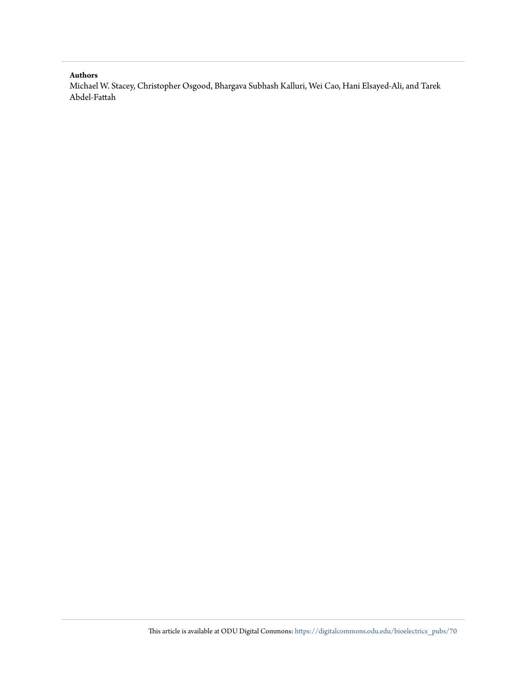#### **Authors**

Michael W. Stacey, Christopher Osgood, Bhargava Subhash Kalluri, Wei Cao, Hani Elsayed-Ali, and Tarek Abdel-Fattah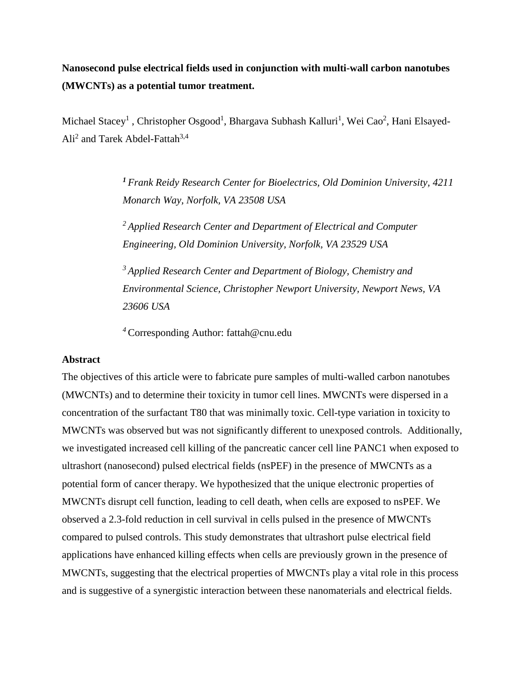**Nanosecond pulse electrical fields used in conjunction with multi-wall carbon nanotubes (MWCNTs) as a potential tumor treatment.**

Michael Stacey<sup>1</sup> , Christopher Osgood<sup>1</sup>, Bhargava Subhash Kalluri<sup>1</sup>, Wei Cao<sup>2</sup>, Hani Elsayed-Ali<sup>2</sup> and Tarek Abdel-Fattah<sup>3,4</sup>

> *<sup>1</sup> Frank Reidy Research Center for Bioelectrics, Old Dominion University, 4211 Monarch Way, Norfolk, VA 23508 USA*

*2 Applied Research Center and Department of Electrical and Computer Engineering, Old Dominion University, Norfolk, VA 23529 USA* 

*<sup>3</sup> Applied Research Center and Department of Biology, Chemistry and Environmental Science, Christopher Newport University, Newport News, VA 23606 USA*

*<sup>4</sup>*Corresponding Author: fattah@cnu.edu

# **Abstract**

The objectives of this article were to fabricate pure samples of multi-walled carbon nanotubes (MWCNTs) and to determine their toxicity in tumor cell lines. MWCNTs were dispersed in a concentration of the surfactant T80 that was minimally toxic. Cell-type variation in toxicity to MWCNTs was observed but was not significantly different to unexposed controls. Additionally, we investigated increased cell killing of the pancreatic cancer cell line PANC1 when exposed to ultrashort (nanosecond) pulsed electrical fields (nsPEF) in the presence of MWCNTs as a potential form of cancer therapy. We hypothesized that the unique electronic properties of MWCNTs disrupt cell function, leading to cell death, when cells are exposed to nsPEF. We observed a 2.3-fold reduction in cell survival in cells pulsed in the presence of MWCNTs compared to pulsed controls. This study demonstrates that ultrashort pulse electrical field applications have enhanced killing effects when cells are previously grown in the presence of MWCNTs, suggesting that the electrical properties of MWCNTs play a vital role in this process and is suggestive of a synergistic interaction between these nanomaterials and electrical fields.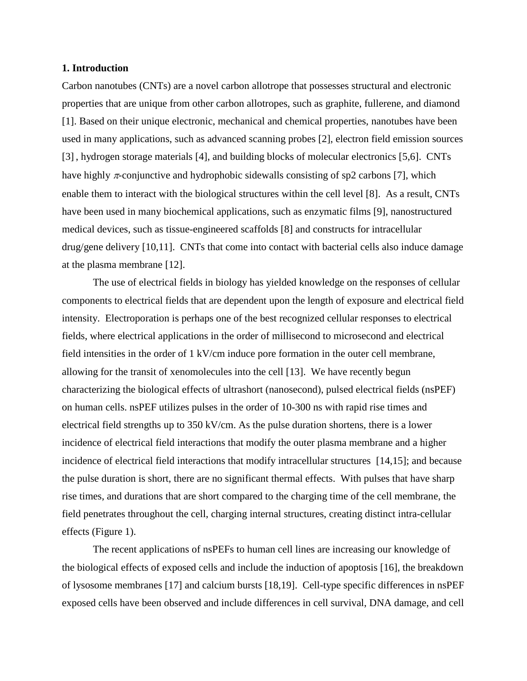#### **1. Introduction**

Carbon nanotubes (CNTs) are a novel carbon allotrope that possesses structural and electronic properties that are unique from other carbon allotropes, such as graphite, fullerene, and diamond [1]. Based on their unique electronic, mechanical and chemical properties, nanotubes have been used in many applications, such as advanced scanning probes [2], electron field emission sources [3] , hydrogen storage materials [4], and building blocks of molecular electronics [5,6]. CNTs have highly  $\pi$ -conjunctive and hydrophobic sidewalls consisting of sp2 carbons [7], which enable them to interact with the biological structures within the cell level [8]. As a result, CNTs have been used in many biochemical applications, such as enzymatic films [9], nanostructured medical devices, such as tissue-engineered scaffolds [8] and constructs for intracellular drug/gene delivery [10,11]. CNTs that come into contact with bacterial cells also induce damage at the plasma membrane [12].

The use of electrical fields in biology has yielded knowledge on the responses of cellular components to electrical fields that are dependent upon the length of exposure and electrical field intensity. Electroporation is perhaps one of the best recognized cellular responses to electrical fields, where electrical applications in the order of millisecond to microsecond and electrical field intensities in the order of 1 kV/cm induce pore formation in the outer cell membrane, allowing for the transit of xenomolecules into the cell [13]. We have recently begun characterizing the biological effects of ultrashort (nanosecond), pulsed electrical fields (nsPEF) on human cells. nsPEF utilizes pulses in the order of 10-300 ns with rapid rise times and electrical field strengths up to 350 kV/cm. As the pulse duration shortens, there is a lower incidence of electrical field interactions that modify the outer plasma membrane and a higher incidence of electrical field interactions that modify intracellular structures [14,15]; and because the pulse duration is short, there are no significant thermal effects. With pulses that have sharp rise times, and durations that are short compared to the charging time of the cell membrane, the field penetrates throughout the cell, charging internal structures, creating distinct intra-cellular effects (Figure 1).

The recent applications of nsPEFs to human cell lines are increasing our knowledge of the biological effects of exposed cells and include the induction of apoptosis [16], the breakdown of lysosome membranes [17] and calcium bursts [18,19]. Cell-type specific differences in nsPEF exposed cells have been observed and include differences in cell survival, DNA damage, and cell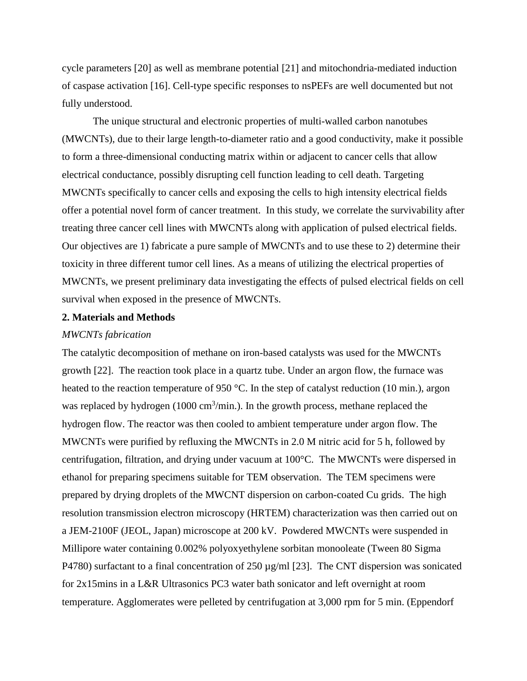cycle parameters [20] as well as membrane potential [21] and mitochondria-mediated induction of caspase activation [16]. Cell-type specific responses to nsPEFs are well documented but not fully understood.

The unique structural and electronic properties of multi-walled carbon nanotubes (MWCNTs), due to their large length-to-diameter ratio and a good conductivity, make it possible to form a three-dimensional conducting matrix within or adjacent to cancer cells that allow electrical conductance, possibly disrupting cell function leading to cell death. Targeting MWCNTs specifically to cancer cells and exposing the cells to high intensity electrical fields offer a potential novel form of cancer treatment. In this study, we correlate the survivability after treating three cancer cell lines with MWCNTs along with application of pulsed electrical fields. Our objectives are 1) fabricate a pure sample of MWCNTs and to use these to 2) determine their toxicity in three different tumor cell lines. As a means of utilizing the electrical properties of MWCNTs, we present preliminary data investigating the effects of pulsed electrical fields on cell survival when exposed in the presence of MWCNTs.

#### **2. Materials and Methods**

#### *MWCNTs fabrication*

The catalytic decomposition of methane on iron-based catalysts was used for the MWCNTs growth [22]. The reaction took place in a quartz tube. Under an argon flow, the furnace was heated to the reaction temperature of 950 °C. In the step of catalyst reduction (10 min.), argon was replaced by hydrogen (1000 cm<sup>3</sup>/min.). In the growth process, methane replaced the hydrogen flow. The reactor was then cooled to ambient temperature under argon flow. The MWCNTs were purified by refluxing the MWCNTs in 2.0 M nitric acid for 5 h, followed by centrifugation, filtration, and drying under vacuum at 100°C. The MWCNTs were dispersed in ethanol for preparing specimens suitable for TEM observation. The TEM specimens were prepared by drying droplets of the MWCNT dispersion on carbon-coated Cu grids. The high resolution transmission electron microscopy (HRTEM) characterization was then carried out on a JEM-2100F (JEOL, Japan) microscope at 200 kV. Powdered MWCNTs were suspended in Millipore water containing 0.002% polyoxyethylene sorbitan monooleate (Tween 80 Sigma P4780) surfactant to a final concentration of 250  $\mu$ g/ml [23]. The CNT dispersion was sonicated for 2x15mins in a L&R Ultrasonics PC3 water bath sonicator and left overnight at room temperature. Agglomerates were pelleted by centrifugation at 3,000 rpm for 5 min. (Eppendorf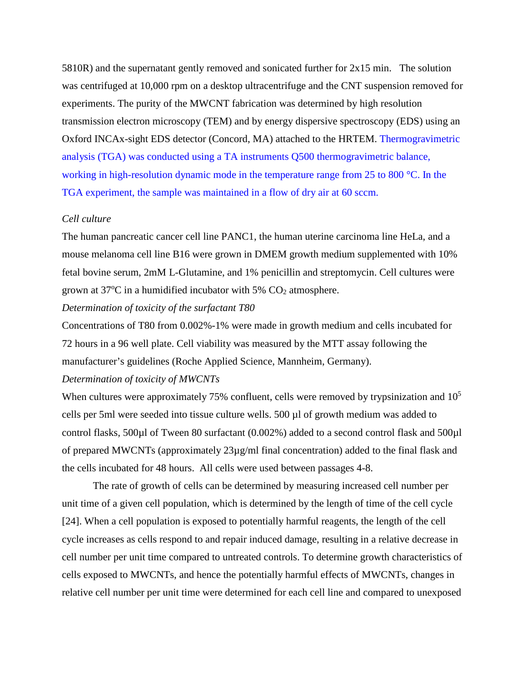5810R) and the supernatant gently removed and sonicated further for 2x15 min. The solution was centrifuged at 10,000 rpm on a desktop ultracentrifuge and the CNT suspension removed for experiments. The purity of the MWCNT fabrication was determined by high resolution transmission electron microscopy (TEM) and by energy dispersive spectroscopy (EDS) using an Oxford INCAx-sight EDS detector (Concord, MA) attached to the HRTEM. Thermogravimetric analysis (TGA) was conducted using a TA instruments Q500 thermogravimetric balance, working in high-resolution dynamic mode in the temperature range from 25 to 800 °C. In the TGA experiment, the sample was maintained in a flow of dry air at 60 sccm.

#### *Cell culture*

The human pancreatic cancer cell line PANC1, the human uterine carcinoma line HeLa, and a mouse melanoma cell line B16 were grown in DMEM growth medium supplemented with 10% fetal bovine serum, 2mM L-Glutamine, and 1% penicillin and streptomycin. Cell cultures were grown at  $37^{\circ}$ C in a humidified incubator with  $5\%$  CO<sub>2</sub> atmosphere.

*Determination of toxicity of the surfactant T80*

Concentrations of T80 from 0.002%-1% were made in growth medium and cells incubated for 72 hours in a 96 well plate. Cell viability was measured by the MTT assay following the manufacturer's guidelines (Roche Applied Science, Mannheim, Germany).

### *Determination of toxicity of MWCNTs*

When cultures were approximately 75% confluent, cells were removed by trypsinization and 10<sup>5</sup> cells per 5ml were seeded into tissue culture wells. 500 µl of growth medium was added to control flasks, 500µl of Tween 80 surfactant (0.002%) added to a second control flask and 500µl of prepared MWCNTs (approximately 23µg/ml final concentration) added to the final flask and the cells incubated for 48 hours. All cells were used between passages 4-8.

The rate of growth of cells can be determined by measuring increased cell number per unit time of a given cell population, which is determined by the length of time of the cell cycle [24]. When a cell population is exposed to potentially harmful reagents, the length of the cell cycle increases as cells respond to and repair induced damage, resulting in a relative decrease in cell number per unit time compared to untreated controls. To determine growth characteristics of cells exposed to MWCNTs, and hence the potentially harmful effects of MWCNTs, changes in relative cell number per unit time were determined for each cell line and compared to unexposed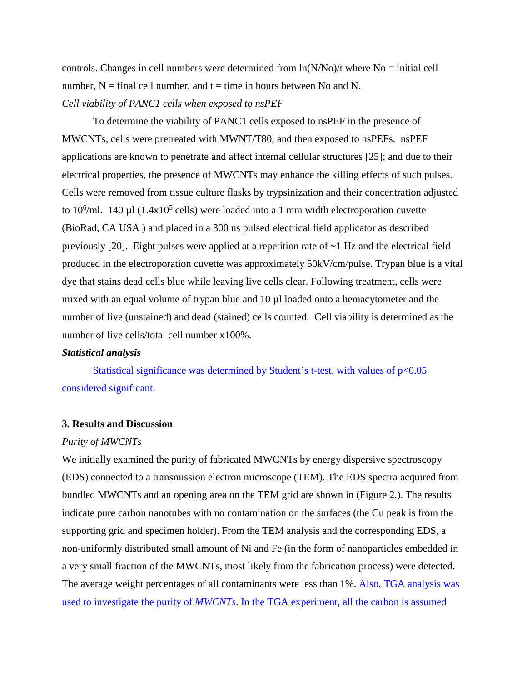controls. Changes in cell numbers were determined from  $ln(N/N<sub>O</sub>)/t$  where No = initial cell number,  $N =$  final cell number, and  $t =$  time in hours between No and N. *Cell viability of PANC1 cells when exposed to nsPEF*

To determine the viability of PANC1 cells exposed to nsPEF in the presence of MWCNTs, cells were pretreated with MWNT/T80, and then exposed to nsPEFs. nsPEF applications are known to penetrate and affect internal cellular structures [25]; and due to their electrical properties, the presence of MWCNTs may enhance the killing effects of such pulses. Cells were removed from tissue culture flasks by trypsinization and their concentration adjusted to  $10^6$ /ml. 140 µl (1.4x10<sup>5</sup> cells) were loaded into a 1 mm width electroporation cuvette (BioRad, CA USA ) and placed in a 300 ns pulsed electrical field applicator as described previously [20]. Eight pulses were applied at a repetition rate of ~1 Hz and the electrical field produced in the electroporation cuvette was approximately 50kV/cm/pulse. Trypan blue is a vital dye that stains dead cells blue while leaving live cells clear. Following treatment, cells were mixed with an equal volume of trypan blue and 10  $\mu$ l loaded onto a hemacytometer and the number of live (unstained) and dead (stained) cells counted. Cell viability is determined as the number of live cells/total cell number x100%.

#### *Statistical analysis*

Statistical significance was determined by Student's t-test, with values of  $p<0.05$ considered significant.

# **3. Results and Discussion**

#### *Purity of MWCNTs*

We initially examined the purity of fabricated MWCNTs by energy dispersive spectroscopy (EDS) connected to a transmission electron microscope (TEM). The EDS spectra acquired from bundled MWCNTs and an opening area on the TEM grid are shown in (Figure 2.). The results indicate pure carbon nanotubes with no contamination on the surfaces (the Cu peak is from the supporting grid and specimen holder). From the TEM analysis and the corresponding EDS, a non-uniformly distributed small amount of Ni and Fe (in the form of nanoparticles embedded in a very small fraction of the MWCNTs, most likely from the fabrication process) were detected. The average weight percentages of all contaminants were less than 1%. Also, TGA analysis was used to investigate the purity of *MWCNTs*. In the TGA experiment, all the carbon is assumed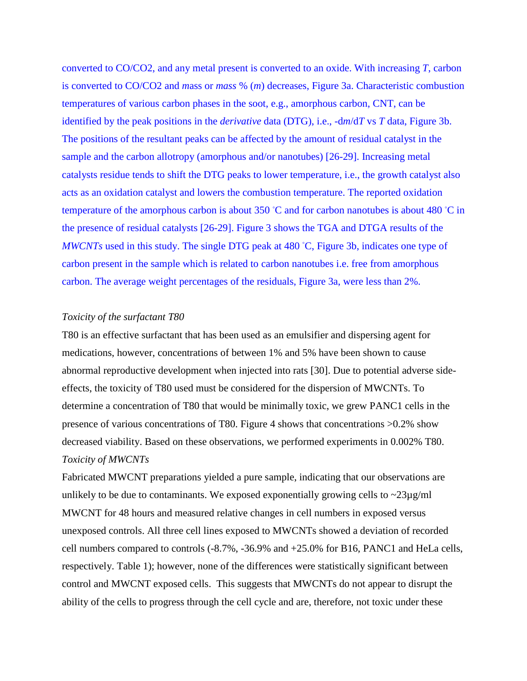converted to CO/CO2, and any metal present is converted to an oxide. With increasing *T*, carbon is converted to CO/CO2 and *m*ass or *mass* % (*m*) decreases, Figure 3a. Characteristic combustion temperatures of various carbon phases in the soot, e.g., amorphous carbon, CNT, can be identified by the peak positions in the *derivative* data (DTG), i.e., -d*m*/d*T* vs *T* data, Figure 3b. The positions of the resultant peaks can be affected by the amount of residual catalyst in the sample and the carbon allotropy (amorphous and/or nanotubes) [26-29]. Increasing metal catalysts residue tends to shift the DTG peaks to lower temperature, i.e., the growth catalyst also acts as an oxidation catalyst and lowers the combustion temperature. The reported oxidation temperature of the amorphous carbon is about 350 °C and for carbon nanotubes is about 480 °C in the presence of residual catalysts [26-29]. Figure 3 shows the TGA and DTGA results of the *MWCNTs* used in this study. The single DTG peak at 480 °C, Figure 3b, indicates one type of carbon present in the sample which is related to carbon nanotubes i.e. free from amorphous carbon. The average weight percentages of the residuals, Figure 3a, were less than 2%.

#### *Toxicity of the surfactant T80*

T80 is an effective surfactant that has been used as an emulsifier and dispersing agent for medications, however, concentrations of between 1% and 5% have been shown to cause abnormal reproductive development when injected into rats [30]. Due to potential adverse sideeffects, the toxicity of T80 used must be considered for the dispersion of MWCNTs. To determine a concentration of T80 that would be minimally toxic, we grew PANC1 cells in the presence of various concentrations of T80. Figure 4 shows that concentrations >0.2% show decreased viability. Based on these observations, we performed experiments in 0.002% T80. *Toxicity of MWCNTs*

Fabricated MWCNT preparations yielded a pure sample, indicating that our observations are unlikely to be due to contaminants. We exposed exponentially growing cells to  $\sim 23\mu g/ml$ MWCNT for 48 hours and measured relative changes in cell numbers in exposed versus unexposed controls. All three cell lines exposed to MWCNTs showed a deviation of recorded cell numbers compared to controls (-8.7%, -36.9% and +25.0% for B16, PANC1 and HeLa cells, respectively. Table 1); however, none of the differences were statistically significant between control and MWCNT exposed cells. This suggests that MWCNTs do not appear to disrupt the ability of the cells to progress through the cell cycle and are, therefore, not toxic under these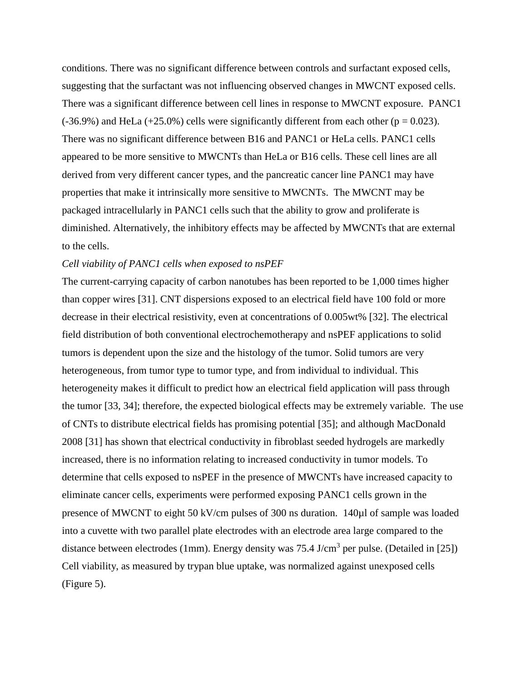conditions. There was no significant difference between controls and surfactant exposed cells, suggesting that the surfactant was not influencing observed changes in MWCNT exposed cells. There was a significant difference between cell lines in response to MWCNT exposure. PANC1  $(-36.9\%)$  and HeLa  $(+25.0\%)$  cells were significantly different from each other ( $p = 0.023$ ). There was no significant difference between B16 and PANC1 or HeLa cells. PANC1 cells appeared to be more sensitive to MWCNTs than HeLa or B16 cells. These cell lines are all derived from very different cancer types, and the pancreatic cancer line PANC1 may have properties that make it intrinsically more sensitive to MWCNTs. The MWCNT may be packaged intracellularly in PANC1 cells such that the ability to grow and proliferate is diminished. Alternatively, the inhibitory effects may be affected by MWCNTs that are external to the cells.

#### *Cell viability of PANC1 cells when exposed to nsPEF*

The current-carrying capacity of carbon nanotubes has been reported to be 1,000 times higher than copper wires [31]. CNT dispersions exposed to an electrical field have 100 fold or more decrease in their electrical resistivity, even at concentrations of 0.005wt% [32]. The electrical field distribution of both conventional electrochemotherapy and nsPEF applications to solid tumors is dependent upon the size and the histology of the tumor. Solid tumors are very heterogeneous, from tumor type to tumor type, and from individual to individual. This heterogeneity makes it difficult to predict how an electrical field application will pass through the tumor [33, 34]; therefore, the expected biological effects may be extremely variable. The use of CNTs to distribute electrical fields has promising potential [35]; and although MacDonald 2008 [31] has shown that electrical conductivity in fibroblast seeded hydrogels are markedly increased, there is no information relating to increased conductivity in tumor models. To determine that cells exposed to nsPEF in the presence of MWCNTs have increased capacity to eliminate cancer cells, experiments were performed exposing PANC1 cells grown in the presence of MWCNT to eight 50 kV/cm pulses of 300 ns duration. 140µl of sample was loaded into a cuvette with two parallel plate electrodes with an electrode area large compared to the distance between electrodes (1mm). Energy density was  $75.4$  J/cm<sup>3</sup> per pulse. (Detailed in [25]) Cell viability, as measured by trypan blue uptake, was normalized against unexposed cells (Figure 5).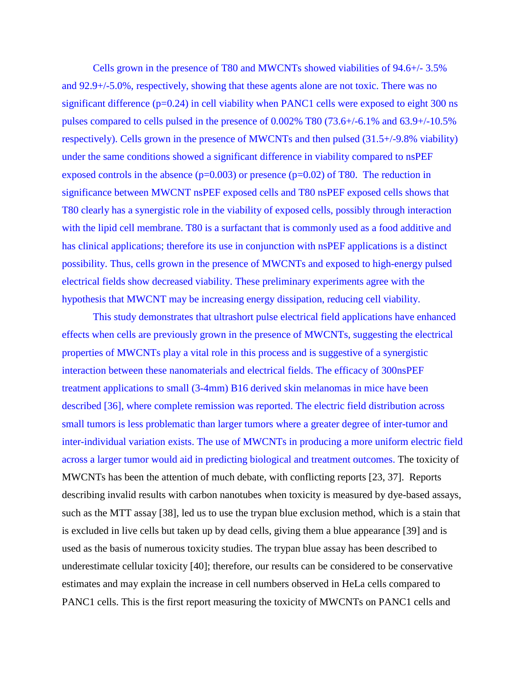Cells grown in the presence of T80 and MWCNTs showed viabilities of 94.6+/- 3.5% and 92.9+/-5.0%, respectively, showing that these agents alone are not toxic. There was no significant difference (p=0.24) in cell viability when PANC1 cells were exposed to eight 300 ns pulses compared to cells pulsed in the presence of 0.002% T80 (73.6+/-6.1% and 63.9+/-10.5% respectively). Cells grown in the presence of MWCNTs and then pulsed (31.5+/-9.8% viability) under the same conditions showed a significant difference in viability compared to nsPEF exposed controls in the absence  $(p=0.003)$  or presence  $(p=0.02)$  of T80. The reduction in significance between MWCNT nsPEF exposed cells and T80 nsPEF exposed cells shows that T80 clearly has a synergistic role in the viability of exposed cells, possibly through interaction with the lipid cell membrane. T80 is a surfactant that is commonly used as a food additive and has clinical applications; therefore its use in conjunction with nsPEF applications is a distinct possibility. Thus, cells grown in the presence of MWCNTs and exposed to high-energy pulsed electrical fields show decreased viability. These preliminary experiments agree with the hypothesis that MWCNT may be increasing energy dissipation, reducing cell viability.

This study demonstrates that ultrashort pulse electrical field applications have enhanced effects when cells are previously grown in the presence of MWCNTs, suggesting the electrical properties of MWCNTs play a vital role in this process and is suggestive of a synergistic interaction between these nanomaterials and electrical fields. The efficacy of 300nsPEF treatment applications to small (3-4mm) B16 derived skin melanomas in mice have been described [36], where complete remission was reported. The electric field distribution across small tumors is less problematic than larger tumors where a greater degree of inter-tumor and inter-individual variation exists. The use of MWCNTs in producing a more uniform electric field across a larger tumor would aid in predicting biological and treatment outcomes. The toxicity of MWCNTs has been the attention of much debate, with conflicting reports [23, 37]. Reports describing invalid results with carbon nanotubes when toxicity is measured by dye-based assays, such as the MTT assay [38], led us to use the trypan blue exclusion method, which is a stain that is excluded in live cells but taken up by dead cells, giving them a blue appearance [39] and is used as the basis of numerous toxicity studies. The trypan blue assay has been described to underestimate cellular toxicity [40]; therefore, our results can be considered to be conservative estimates and may explain the increase in cell numbers observed in HeLa cells compared to PANC1 cells. This is the first report measuring the toxicity of MWCNTs on PANC1 cells and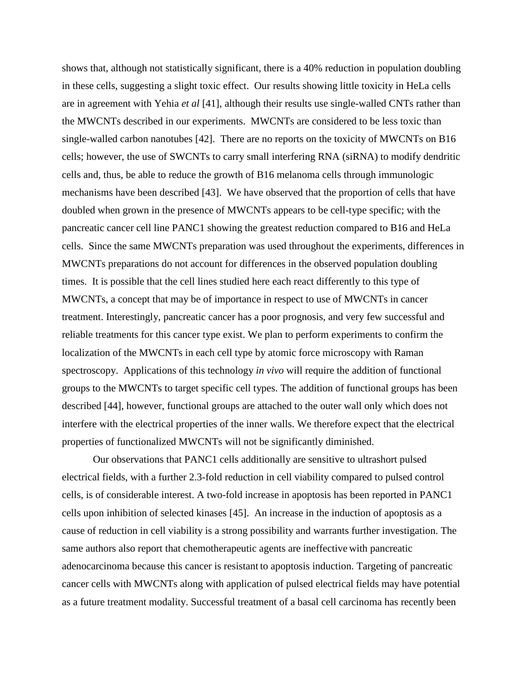shows that, although not statistically significant, there is a 40% reduction in population doubling in these cells, suggesting a slight toxic effect. Our results showing little toxicity in HeLa cells are in agreement with Yehia *et al* [41], although their results use single-walled CNTs rather than the MWCNTs described in our experiments. MWCNTs are considered to be less toxic than single-walled carbon nanotubes [42]. There are no reports on the toxicity of MWCNTs on B16 cells; however, the use of SWCNTs to carry small interfering RNA (siRNA) to modify dendritic cells and, thus, be able to reduce the growth of B16 melanoma cells through immunologic mechanisms have been described [43]. We have observed that the proportion of cells that have doubled when grown in the presence of MWCNTs appears to be cell-type specific; with the pancreatic cancer cell line PANC1 showing the greatest reduction compared to B16 and HeLa cells. Since the same MWCNTs preparation was used throughout the experiments, differences in MWCNTs preparations do not account for differences in the observed population doubling times. It is possible that the cell lines studied here each react differently to this type of MWCNTs, a concept that may be of importance in respect to use of MWCNTs in cancer treatment. Interestingly, pancreatic cancer has a poor prognosis, and very few successful and reliable treatments for this cancer type exist. We plan to perform experiments to confirm the localization of the MWCNTs in each cell type by atomic force microscopy with Raman spectroscopy. Applications of this technology *in vivo* will require the addition of functional groups to the MWCNTs to target specific cell types. The addition of functional groups has been described [44], however, functional groups are attached to the outer wall only which does not interfere with the electrical properties of the inner walls. We therefore expect that the electrical properties of functionalized MWCNTs will not be significantly diminished.

Our observations that PANC1 cells additionally are sensitive to ultrashort pulsed electrical fields, with a further 2.3-fold reduction in cell viability compared to pulsed control cells, is of considerable interest. A two-fold increase in apoptosis has been reported in PANC1 cells upon inhibition of selected kinases [45]. An increase in the induction of apoptosis as a cause of reduction in cell viability is a strong possibility and warrants further investigation. The same authors also report that chemotherapeutic agents are ineffective with pancreatic adenocarcinoma because this cancer is resistant to apoptosis induction. Targeting of pancreatic cancer cells with MWCNTs along with application of pulsed electrical fields may have potential as a future treatment modality. Successful treatment of a basal cell carcinoma has recently been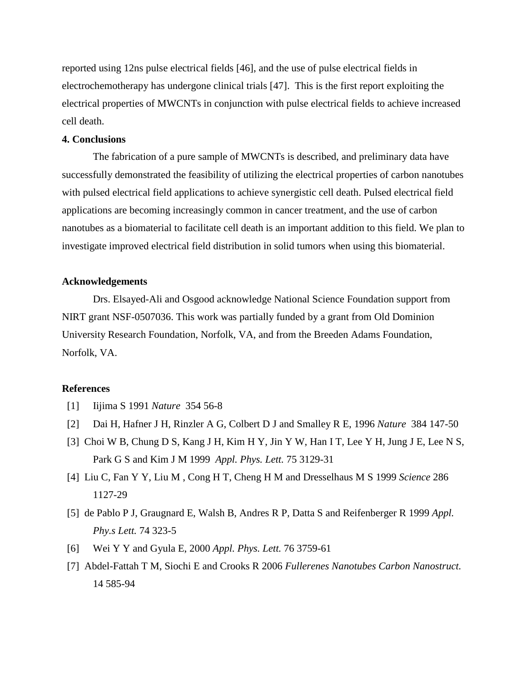reported using 12ns pulse electrical fields [46], and the use of pulse electrical fields in electrochemotherapy has undergone clinical trials [47]. This is the first report exploiting the electrical properties of MWCNTs in conjunction with pulse electrical fields to achieve increased cell death.

#### **4. Conclusions**

The fabrication of a pure sample of MWCNTs is described, and preliminary data have successfully demonstrated the feasibility of utilizing the electrical properties of carbon nanotubes with pulsed electrical field applications to achieve synergistic cell death. Pulsed electrical field applications are becoming increasingly common in cancer treatment, and the use of carbon nanotubes as a biomaterial to facilitate cell death is an important addition to this field. We plan to investigate improved electrical field distribution in solid tumors when using this biomaterial.

#### **Acknowledgements**

Drs. Elsayed-Ali and Osgood acknowledge National Science Foundation support from NIRT grant NSF-0507036. This work was partially funded by a grant from Old Dominion University Research Foundation, Norfolk, VA, and from the Breeden Adams Foundation, Norfolk, VA.

#### **References**

- [1] Iijima S 1991 *Nature* 354 56-8
- [2] Dai H, Hafner J H, Rinzler A G, Colbert D J and Smalley R E, 1996 *Nature* 384 147-50
- [3] Choi W B, Chung D S, Kang J H, Kim H Y, Jin Y W, Han I T, Lee Y H, Jung J E, Lee N S, Park G S and Kim J M 1999 *Appl. Phys. Lett.* 75 3129-31
- [4] Liu C, Fan Y Y, Liu M , Cong H T, Cheng H M and Dresselhaus M S 1999 *Science* 286 1127-29
- [5] de Pablo P J, Graugnard E, Walsh B, Andres R P, Datta S and Reifenberger R 1999 *Appl. Phy.s Lett.* 74 323-5
- [6] Wei Y Y and Gyula E, 2000 *Appl. Phys. Lett.* 76 3759-61
- [7] Abdel-Fattah T M, Siochi E and Crooks R 2006 *Fullerenes Nanotubes Carbon Nanostruct.* 14 585-94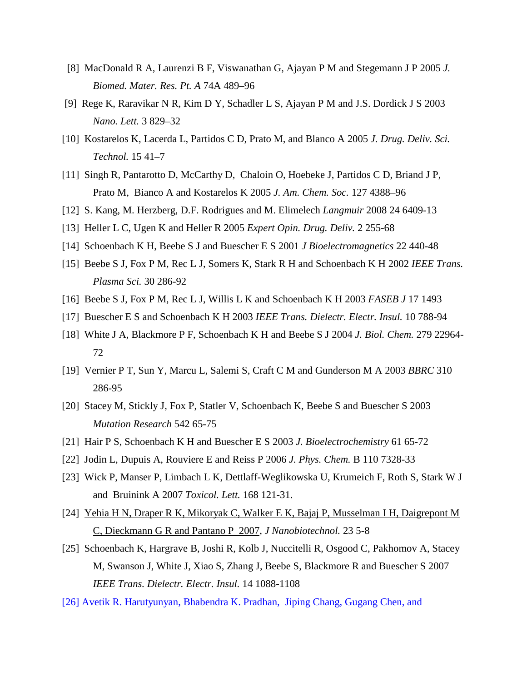- [8] MacDonald R A, Laurenzi B F, Viswanathan G, Ajayan P M and Stegemann J P 2005 *J. Biomed. Mater. Res. Pt. A* 74A 489–96
- [9] Rege K, Raravikar N R, Kim D Y, Schadler L S, Ajayan P M and J.S. Dordick J S 2003 *Nano. Lett.* 3 829–32
- [10] Kostarelos K, Lacerda L, Partidos C D, Prato M, and Blanco A 2005 *J. Drug. Deliv. Sci. Technol.* 15 41–7
- [11] Singh R, Pantarotto D, McCarthy D, Chaloin O, Hoebeke J, Partidos C D, Briand J P, Prato M, Bianco A and Kostarelos K 2005 *J. Am. Chem. Soc.* 127 4388–96
- [12] S. Kang, M. Herzberg, D.F. Rodrigues and M. Elimelech *Langmuir* 2008 24 6409-13
- [13] Heller L C, Ugen K and Heller R 2005 *Expert Opin. Drug. Deliv.* 2 255-68
- [14] Schoenbach K H, Beebe S J and Buescher E S 2001 *J Bioelectromagnetics* 22 440-48
- [15] Beebe S J, Fox P M, Rec L J, Somers K, Stark R H and Schoenbach K H 2002 *IEEE Trans. Plasma Sci.* 30 286-92
- [16] Beebe S J, Fox P M, Rec L J, Willis L K and Schoenbach K H 2003 *FASEB J* 17 1493
- [17] Buescher E S and Schoenbach K H 2003 *IEEE Trans. Dielectr. Electr. Insul.* 10 788-94
- [18] White J A, Blackmore P F, Schoenbach K H and Beebe S J 2004 *J. Biol. Chem.* 279 22964- 72
- [19] Vernier P T, Sun Y, Marcu L, Salemi S, Craft C M and Gunderson M A 2003 *BBRC* 310 286-95
- [20] Stacey M, Stickly J, Fox P, Statler V, Schoenbach K, Beebe S and Buescher S 2003 *Mutation Research* 542 65-75
- [21] Hair P S, Schoenbach K H and Buescher E S 2003 *J. Bioelectrochemistry* 61 65-72
- [22] Jodin L, Dupuis A, Rouviere E and Reiss P 2006 *J. Phys. Chem.* B 110 7328-33
- [23] Wick P, Manser P, Limbach L K, Dettlaff-Weglikowska U, Krumeich F, Roth S, Stark W J and Bruinink A 2007 *Toxicol. Lett.* 168 121-31.
- [24] [Yehia H N, Draper R K, Mikoryak C, Walker E K, Bajaj P, Musselman I H, Daigrepont M](http://www.ncbi.nlm.nih.gov/pubmed/17956629?ordinalpos=2&itool=EntrezSystem2.PEntrez.Pubmed.Pubmed_ResultsPanel.Pubmed_DefaultReportPanel.Pubmed_RVDocSum)  [C, Dieckmann G R and Pantano P 2007,](http://www.ncbi.nlm.nih.gov/pubmed/17956629?ordinalpos=2&itool=EntrezSystem2.PEntrez.Pubmed.Pubmed_ResultsPanel.Pubmed_DefaultReportPanel.Pubmed_RVDocSum) *J Nanobiotechnol.* 23 5-8
- [25] Schoenbach K, Hargrave B, Joshi R, Kolb J, Nuccitelli R, Osgood C, Pakhomov A, Stacey M, Swanson J, White J, Xiao S, Zhang J, Beebe S, Blackmore R and Buescher S 2007 *IEEE Trans. Dielectr. Electr. Insul.* 14 1088-1108
- [26] Avetik R. Harutyunyan, Bhabendra K. Pradhan, Jiping Chang, Gugang Chen, and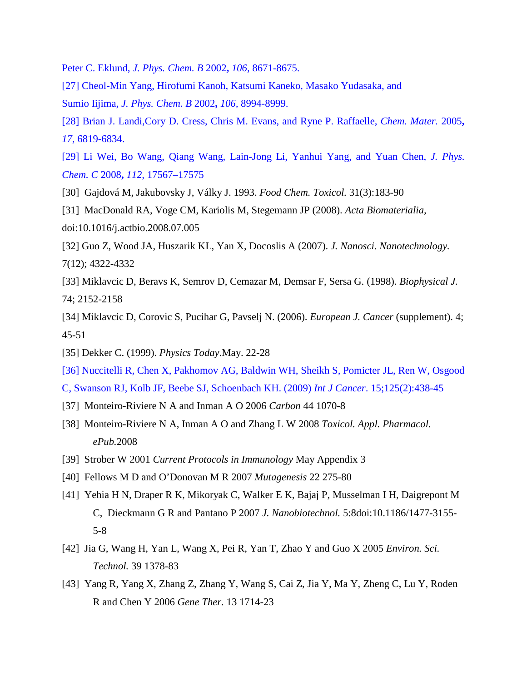- Peter C. Eklund, *J. Phys. Chem. B* 2002**,** *106,* 8671-8675.
- [27] Cheol-Min Yang, Hirofumi Kanoh, Katsumi Kaneko, Masako Yudasaka, and
- Sumio Iijima, *J. Phys. Chem. B* 2002**,** *106,* 8994-8999.
- [28] Brian J. Landi,Cory D. Cress, Chris M. Evans, and Ryne P. Raffaelle, *Chem. Mater.* 2005**,**  *17,* 6819-6834.
- [29] Li Wei, Bo Wang, Qiang Wang, Lain-Jong Li, Yanhui Yang, and Yuan Chen, *J. Phys. Chem. C* 2008**,** *112,* 17567–17575
- [30] Gajdová M, Jakubovsky J, Války J. 1993. *Food Chem. Toxicol.* 31(3):183-90
- [31] MacDonald RA, Voge CM, Kariolis M, Stegemann JP (2008). *Acta Biomaterialia,*
- doi:10.1016/j.actbio.2008.07.005
- [32] Guo Z, Wood JA, Huszarik KL, Yan X, Docoslis A (2007). *J. Nanosci. Nanotechnology.*  7(12); 4322-4332
- [33] Miklavcic D, Beravs K, Semrov D, Cemazar M, Demsar F, Sersa G. (1998). *Biophysical J.*  74; 2152-2158
- [34] Miklavcic D, Corovic S, Pucihar G, Pavselj N. (2006). *European J. Cancer* (supplement). 4; 45-51
- [35] Dekker C. (1999). *Physics Today*.May. 22-28
- [36] Nuccitelli R, Chen X, Pakhomov AG, Baldwin WH, Sheikh S, Pomicter JL, Ren W, Osgood
- C, Swanson RJ, Kolb JF, Beebe SJ, Schoenbach KH. (2009) *Int J Cancer*. 15;125(2):438-45
- [37] Monteiro-Riviere N A and Inman A O 2006 *Carbon* 44 1070-8
- [38] Monteiro-Riviere N A, Inman A O and Zhang L W 2008 *Toxicol. Appl. Pharmacol. ePub.*2008
- [39] Strober W 2001 *Current Protocols in Immunology* May Appendix 3
- [40] Fellows M D and O'Donovan M R 2007 *Mutagenesis* 22 275-80
- [41] Yehia H N, Draper R K, Mikoryak C, Walker E K, Bajaj P, Musselman I H, Daigrepont M C, Dieckmann G R and Pantano P 2007 *J. Nanobiotechnol.* 5:8doi:10.1186/1477-3155- 5-8
- [42] Jia G, Wang H, Yan L, Wang X, Pei R, Yan T, Zhao Y and Guo X 2005 *Environ. Sci. Technol.* 39 1378-83
- [43] Yang R, Yang X, Zhang Z, Zhang Y, Wang S, Cai Z, Jia Y, Ma Y, Zheng C, Lu Y, Roden R and Chen Y 2006 *Gene Ther.* 13 1714-23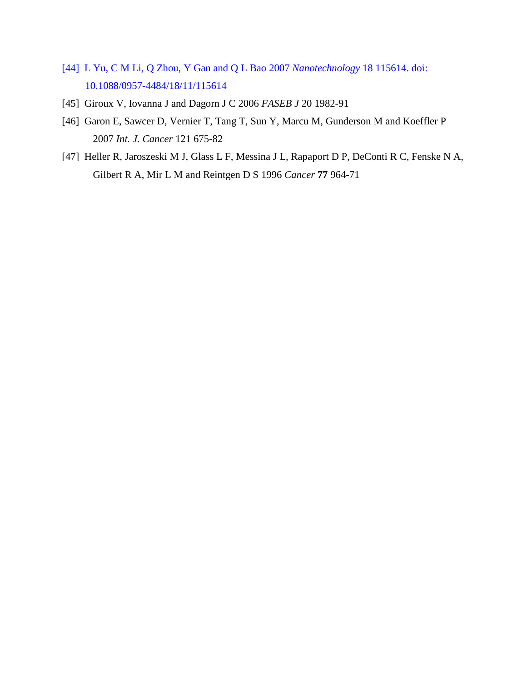- [44] L Yu, C M Li, Q Zhou, Y Gan and Q L Bao 2007 *Nanotechnology* 18 115614. doi: 10.1088/0957-4484/18/11/115614
- [45] Giroux V, Iovanna J and Dagorn J C 2006 *FASEB J* 20 1982-91
- [46] Garon E, Sawcer D, Vernier T, Tang T, Sun Y, Marcu M, Gunderson M and Koeffler P 2007 *Int. J. Cancer* 121 675-82
- [47] Heller R, Jaroszeski M J, Glass L F, Messina J L, Rapaport D P, DeConti R C, Fenske N A, Gilbert R A, Mir L M and Reintgen D S 1996 *Cancer* **77** 964-71